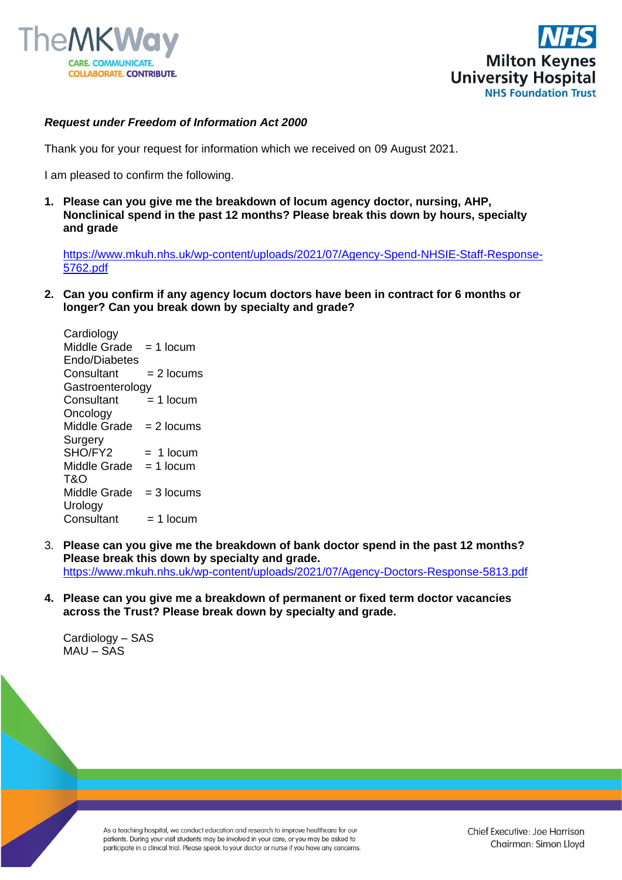



## *Request under Freedom of Information Act 2000*

Thank you for your request for information which we received on 09 August 2021.

I am pleased to confirm the following.

**1. Please can you give me the breakdown of locum agency doctor, nursing, AHP, Nonclinical spend in the past 12 months? Please break this down by hours, specialty and grade**

[https://www.mkuh.nhs.uk/wp-content/uploads/2021/07/Agency-Spend-NHSIE-Staff-Response-](https://www.mkuh.nhs.uk/wp-content/uploads/2021/07/Agency-Spend-NHSIE-Staff-Response-5762.pdf)[5762.pdf](https://www.mkuh.nhs.uk/wp-content/uploads/2021/07/Agency-Spend-NHSIE-Staff-Response-5762.pdf)

**2. Can you confirm if any agency locum doctors have been in contract for 6 months or longer? Can you break down by specialty and grade?**

**Cardiology** Middle Grade  $= 1$  locum Endo/Diabetes  $Consider  $= 2$  locus$ **Gastroenterology**  $Constant = 1 locum$ **Oncology** Middle  $G$ rade = 2 locums **Surgery**  $SHO/FY2 = 1$  locum Middle Grade  $= 1$  locum T&O Middle Grade  $= 3$  locums **Urology** Consultant  $= 1$  locum

- 3. **Please can you give me the breakdown of bank doctor spend in the past 12 months? Please break this down by specialty and grade.** <https://www.mkuh.nhs.uk/wp-content/uploads/2021/07/Agency-Doctors-Response-5813.pdf>
- **4. Please can you give me a breakdown of permanent or fixed term doctor vacancies across the Trust? Please break down by specialty and grade.**

Cardiology – SAS  $MAU - <sub>SAS</sub>$ 

> As a teaching hospital, we conduct education and research to improve healthcare for our patients. During your visit students may be involved in your care, or you may be asked to participate in a clinical trial. Please speak to your doctor or nurse if you have any concerns.